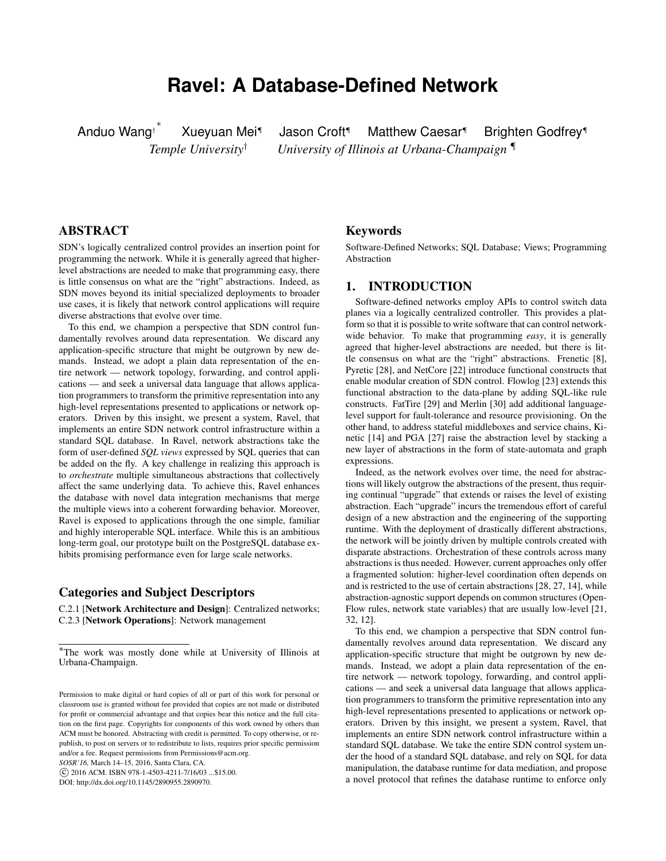# **Ravel: A Database-Defined Network**

Anduo Wang<sup>†\*</sup>

Xueyuan Mei<sup>1</sup> Jason Croft<sup>1</sup> Matthew Caesar<sup>1</sup> Brighten Godfrey<sup>1</sup> *Temple University*† *University of Illinois at Urbana-Champaign* ¶

## ABSTRACT

SDN's logically centralized control provides an insertion point for programming the network. While it is generally agreed that higherlevel abstractions are needed to make that programming easy, there is little consensus on what are the "right" abstractions. Indeed, as SDN moves beyond its initial specialized deployments to broader use cases, it is likely that network control applications will require diverse abstractions that evolve over time.

To this end, we champion a perspective that SDN control fundamentally revolves around data representation. We discard any application-specific structure that might be outgrown by new demands. Instead, we adopt a plain data representation of the entire network — network topology, forwarding, and control applications — and seek a universal data language that allows application programmers to transform the primitive representation into any high-level representations presented to applications or network operators. Driven by this insight, we present a system, Ravel, that implements an entire SDN network control infrastructure within a standard SQL database. In Ravel, network abstractions take the form of user-defined *SQL views* expressed by SQL queries that can be added on the fly. A key challenge in realizing this approach is to *orchestrate* multiple simultaneous abstractions that collectively affect the same underlying data. To achieve this, Ravel enhances the database with novel data integration mechanisms that merge the multiple views into a coherent forwarding behavior. Moreover, Ravel is exposed to applications through the one simple, familiar and highly interoperable SQL interface. While this is an ambitious long-term goal, our prototype built on the PostgreSQL database exhibits promising performance even for large scale networks.

### Categories and Subject Descriptors

C.2.1 [Network Architecture and Design]: Centralized networks; C.2.3 [Network Operations]: Network management

*SOSR'16,* March 14–15, 2016, Santa Clara, CA.

c 2016 ACM. ISBN 978-1-4503-4211-7/16/03 ...\$15.00.

DOI: http://dx.doi.org/10.1145/2890955.2890970.

### Keywords

Software-Defined Networks; SQL Database; Views; Programming Abstraction

### 1. INTRODUCTION

Software-defined networks employ APIs to control switch data planes via a logically centralized controller. This provides a platform so that it is possible to write software that can control networkwide behavior. To make that programming *easy*, it is generally agreed that higher-level abstractions are needed, but there is little consensus on what are the "right" abstractions. Frenetic [8], Pyretic [28], and NetCore [22] introduce functional constructs that enable modular creation of SDN control. Flowlog [23] extends this functional abstraction to the data-plane by adding SQL-like rule constructs. FatTire [29] and Merlin [30] add additional languagelevel support for fault-tolerance and resource provisioning. On the other hand, to address stateful middleboxes and service chains, Kinetic [14] and PGA [27] raise the abstraction level by stacking a new layer of abstractions in the form of state-automata and graph expressions.

Indeed, as the network evolves over time, the need for abstractions will likely outgrow the abstractions of the present, thus requiring continual "upgrade" that extends or raises the level of existing abstraction. Each "upgrade" incurs the tremendous effort of careful design of a new abstraction and the engineering of the supporting runtime. With the deployment of drastically different abstractions, the network will be jointly driven by multiple controls created with disparate abstractions. Orchestration of these controls across many abstractions is thus needed. However, current approaches only offer a fragmented solution: higher-level coordination often depends on and is restricted to the use of certain abstractions [28, 27, 14], while abstraction-agnostic support depends on common structures (Open-Flow rules, network state variables) that are usually low-level [21, 32, 12].

To this end, we champion a perspective that SDN control fundamentally revolves around data representation. We discard any application-specific structure that might be outgrown by new demands. Instead, we adopt a plain data representation of the entire network — network topology, forwarding, and control applications — and seek a universal data language that allows application programmers to transform the primitive representation into any high-level representations presented to applications or network operators. Driven by this insight, we present a system, Ravel, that implements an entire SDN network control infrastructure within a standard SQL database. We take the entire SDN control system under the hood of a standard SQL database, and rely on SQL for data manipulation, the database runtime for data mediation, and propose a novel protocol that refines the database runtime to enforce only

<sup>∗</sup>The work was mostly done while at University of Illinois at Urbana-Champaign.

Permission to make digital or hard copies of all or part of this work for personal or classroom use is granted without fee provided that copies are not made or distributed for profit or commercial advantage and that copies bear this notice and the full citation on the first page. Copyrights for components of this work owned by others than ACM must be honored. Abstracting with credit is permitted. To copy otherwise, or republish, to post on servers or to redistribute to lists, requires prior specific permission and/or a fee. Request permissions from Permissions@acm.org.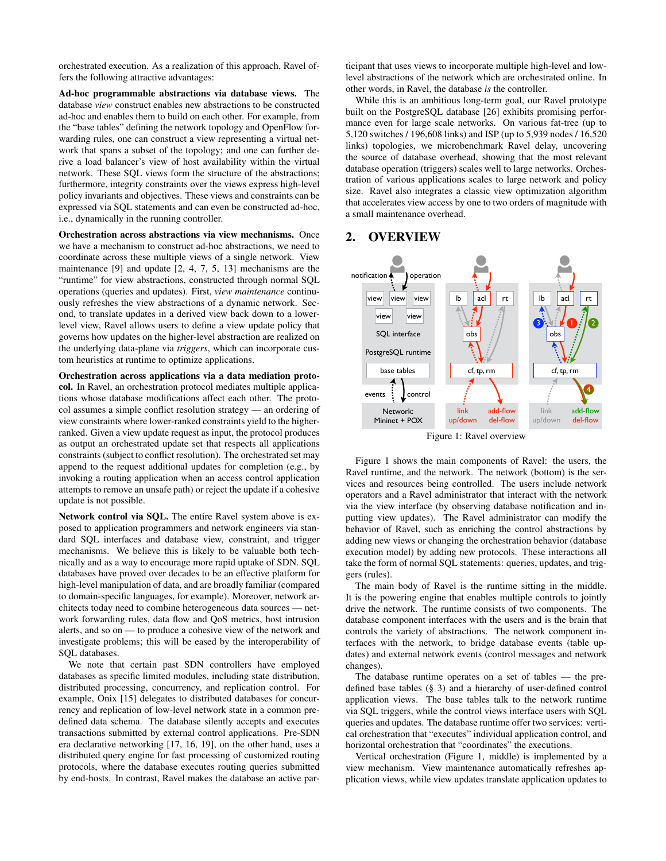orchestrated execution. As a realization of this approach, Ravel offers the following attractive advantages:

Ad-hoc programmable abstractions via database views. The database *view* construct enables new abstractions to be constructed ad-hoc and enables them to build on each other. For example, from the "base tables" defining the network topology and OpenFlow forwarding rules, one can construct a view representing a virtual network that spans a subset of the topology; and one can further derive a load balancer's view of host availability within the virtual network. These SQL views form the structure of the abstractions; furthermore, integrity constraints over the views express high-level policy invariants and objectives. These views and constraints can be expressed via SQL statements and can even be constructed ad-hoc, i.e., dynamically in the running controller.

Orchestration across abstractions via view mechanisms. Once we have a mechanism to construct ad-hoc abstractions, we need to coordinate across these multiple views of a single network. View maintenance [9] and update [2, 4, 7, 5, 13] mechanisms are the "runtime" for view abstractions, constructed through normal SQL operations (queries and updates). First, *view maintenance* continuously refreshes the view abstractions of a dynamic network. Second, to translate updates in a derived view back down to a lowerlevel view, Ravel allows users to define a view update policy that governs how updates on the higher-level abstraction are realized on the underlying data-plane via *triggers*, which can incorporate custom heuristics at runtime to optimize applications.

Orchestration across applications via a data mediation protocol. In Ravel, an orchestration protocol mediates multiple applications whose database modifications affect each other. The protocol assumes a simple conflict resolution strategy — an ordering of view constraints where lower-ranked constraints yield to the higherranked. Given a view update request as input, the protocol produces as output an orchestrated update set that respects all applications constraints (subject to conflict resolution). The orchestrated set may append to the request additional updates for completion (e.g., by invoking a routing application when an access control application attempts to remove an unsafe path) or reject the update if a cohesive update is not possible.

Network control via SQL. The entire Ravel system above is exposed to application programmers and network engineers via standard SQL interfaces and database view, constraint, and trigger mechanisms. We believe this is likely to be valuable both technically and as a way to encourage more rapid uptake of SDN. SQL databases have proved over decades to be an effective platform for high-level manipulation of data, and are broadly familiar (compared to domain-specific languages, for example). Moreover, network architects today need to combine heterogeneous data sources — network forwarding rules, data flow and QoS metrics, host intrusion alerts, and so on — to produce a cohesive view of the network and investigate problems; this will be eased by the interoperability of SQL databases.

We note that certain past SDN controllers have employed databases as specific limited modules, including state distribution, distributed processing, concurrency, and replication control. For example, Onix [15] delegates to distributed databases for concurrency and replication of low-level network state in a common predefined data schema. The database silently accepts and executes transactions submitted by external control applications. Pre-SDN era declarative networking [17, 16, 19], on the other hand, uses a distributed query engine for fast processing of customized routing protocols, where the database executes routing queries submitted by end-hosts. In contrast, Ravel makes the database an active participant that uses views to incorporate multiple high-level and lowlevel abstractions of the network which are orchestrated online. In other words, in Ravel, the database *is* the controller.

While this is an ambitious long-term goal, our Ravel prototype built on the PostgreSQL database [26] exhibits promising performance even for large scale networks. On various fat-tree (up to 5,120 switches / 196,608 links) and ISP (up to 5,939 nodes / 16,520 links) topologies, we microbenchmark Ravel delay, uncovering the source of database overhead, showing that the most relevant database operation (triggers) scales well to large networks. Orchestration of various applications scales to large network and policy size. Ravel also integrates a classic view optimization algorithm that accelerates view access by one to two orders of magnitude with a small maintenance overhead.

### 2. OVERVIEW



Figure 1: Ravel overview

Figure 1 shows the main components of Ravel: the users, the Ravel runtime, and the network. The network (bottom) is the services and resources being controlled. The users include network operators and a Ravel administrator that interact with the network via the view interface (by observing database notification and inputting view updates). The Ravel administrator can modify the behavior of Ravel, such as enriching the control abstractions by adding new views or changing the orchestration behavior (database execution model) by adding new protocols. These interactions all take the form of normal SQL statements: queries, updates, and triggers (rules).

The main body of Ravel is the runtime sitting in the middle. It is the powering engine that enables multiple controls to jointly drive the network. The runtime consists of two components. The database component interfaces with the users and is the brain that controls the variety of abstractions. The network component interfaces with the network, to bridge database events (table updates) and external network events (control messages and network changes).

The database runtime operates on a set of tables — the predefined base tables (§ 3) and a hierarchy of user-defined control application views. The base tables talk to the network runtime via SQL triggers, while the control views interface users with SQL queries and updates. The database runtime offer two services: vertical orchestration that "executes" individual application control, and horizontal orchestration that "coordinates" the executions.

Vertical orchestration (Figure 1, middle) is implemented by a view mechanism. View maintenance automatically refreshes application views, while view updates translate application updates to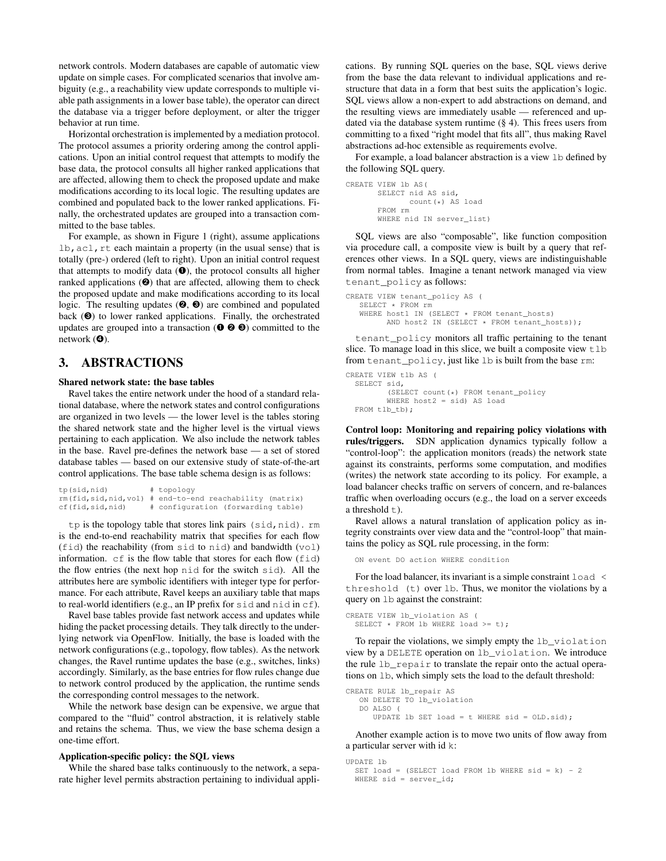network controls. Modern databases are capable of automatic view update on simple cases. For complicated scenarios that involve ambiguity (e.g., a reachability view update corresponds to multiple viable path assignments in a lower base table), the operator can direct the database via a trigger before deployment, or alter the trigger behavior at run time.

Horizontal orchestration is implemented by a mediation protocol. The protocol assumes a priority ordering among the control applications. Upon an initial control request that attempts to modify the base data, the protocol consults all higher ranked applications that are affected, allowing them to check the proposed update and make modifications according to its local logic. The resulting updates are combined and populated back to the lower ranked applications. Finally, the orchestrated updates are grouped into a transaction committed to the base tables.

For example, as shown in Figure 1 (right), assume applications lb, acl, rt each maintain a property (in the usual sense) that is totally (pre-) ordered (left to right). Upon an initial control request that attempts to modify data  $(\mathbf{0})$ , the protocol consults all higher ranked applications  $(②)$  that are affected, allowing them to check the proposed update and make modifications according to its local logic. The resulting updates ( $\Theta$ ,  $\Theta$ ) are combined and populated back ( $\Theta$ ) to lower ranked applications. Finally, the orchestrated updates are grouped into a transaction  $(\mathbf{0} \mathbf{\Theta} \mathbf{\Theta})$  committed to the network  $(③)$ .

### 3. ABSTRACTIONS

### Shared network state: the base tables

Ravel takes the entire network under the hood of a standard relational database, where the network states and control configurations are organized in two levels — the lower level is the tables storing the shared network state and the higher level is the virtual views pertaining to each application. We also include the network tables in the base. Ravel pre-defines the network base — a set of stored database tables — based on our extensive study of state-of-the-art control applications. The base table schema design is as follows:

```
tp(sid,nid) # topology
rm(fid,sid,nid,vol) # end-to-end reachability (matrix) cf(fid,sid,nid) # configuration (forwarding table)
                           # configuration (forwarding table)
```
tp is the topology table that stores link pairs (sid,nid). rm is the end-to-end reachability matrix that specifies for each flow  $(fid)$  the reachability (from sid to nid) and bandwidth  $(vol)$ information.  $cf$  is the flow table that stores for each flow  $(fid)$ the flow entries (the next hop nid for the switch sid). All the attributes here are symbolic identifiers with integer type for performance. For each attribute, Ravel keeps an auxiliary table that maps to real-world identifiers (e.g., an IP prefix for sid and nid in cf).

Ravel base tables provide fast network access and updates while hiding the packet processing details. They talk directly to the underlying network via OpenFlow. Initially, the base is loaded with the network configurations (e.g., topology, flow tables). As the network changes, the Ravel runtime updates the base (e.g., switches, links) accordingly. Similarly, as the base entries for flow rules change due to network control produced by the application, the runtime sends the corresponding control messages to the network.

While the network base design can be expensive, we argue that compared to the "fluid" control abstraction, it is relatively stable and retains the schema. Thus, we view the base schema design a one-time effort.

#### Application-specific policy: the SQL views

While the shared base talks continuously to the network, a separate higher level permits abstraction pertaining to individual applications. By running SQL queries on the base, SQL views derive from the base the data relevant to individual applications and restructure that data in a form that best suits the application's logic. SQL views allow a non-expert to add abstractions on demand, and the resulting views are immediately usable — referenced and updated via the database system runtime (§ 4). This frees users from committing to a fixed "right model that fits all", thus making Ravel abstractions ad-hoc extensible as requirements evolve.

For example, a load balancer abstraction is a view 1b defined by the following SQL query.

```
CREATE VIEW lb AS(
       SELECT nid AS sid,
              count(*) AS load
       FROM rm
       WHERE nid IN server_list)
```
SQL views are also "composable", like function composition via procedure call, a composite view is built by a query that references other views. In a SQL query, views are indistinguishable from normal tables. Imagine a tenant network managed via view tenant\_policy as follows:

```
CREATE VIEW tenant_policy AS (
   SELECT * FROM rm
   WHERE host1 IN (SELECT * FROM tenant hosts)
         AND host2 IN (SELECT \star FROM tenant hosts));
```
tenant\_policy monitors all traffic pertaining to the tenant slice. To manage load in this slice, we built a composite view  $t \perp b$ from tenant\_policy, just like lb is built from the base rm:

```
CREATE VIEW tlb AS (
  SELECT sid,
         (SELECT count(*) FROM tenant_policy
         WHERE host2 = sid) AS load
  FROM tlb_tb);
```
Control loop: Monitoring and repairing policy violations with rules/triggers. SDN application dynamics typically follow a "control-loop": the application monitors (reads) the network state against its constraints, performs some computation, and modifies (writes) the network state according to its policy. For example, a load balancer checks traffic on servers of concern, and re-balances traffic when overloading occurs (e.g., the load on a server exceeds a threshold  $t$ ).

Ravel allows a natural translation of application policy as integrity constraints over view data and the "control-loop" that maintains the policy as SQL rule processing, in the form:

ON event DO action WHERE condition

For the load balancer, its invariant is a simple constraint load < threshold (t) over lb. Thus, we monitor the violations by a query on lb against the constraint:

```
CREATE VIEW 1b_violation AS (<br>SELECT * FROM 1b WHERE load >= t);
```
To repair the violations, we simply empty the lb\_violation view by a DELETE operation on lb\_violation. We introduce the rule lb\_repair to translate the repair onto the actual operations on lb, which simply sets the load to the default threshold:

```
CREATE RULE lb_repair AS
  ON DELETE TO lb_violation
  DO ALSO (
      UPDATE lb SET load = t WHERE sid = OLD.sid);
```
Another example action is to move two units of flow away from a particular server with id k:

```
UPDATE lb
 SET load = (SELECT load FROM lb WHERE sid = k) - 2
  WHERE sid = server_id;
```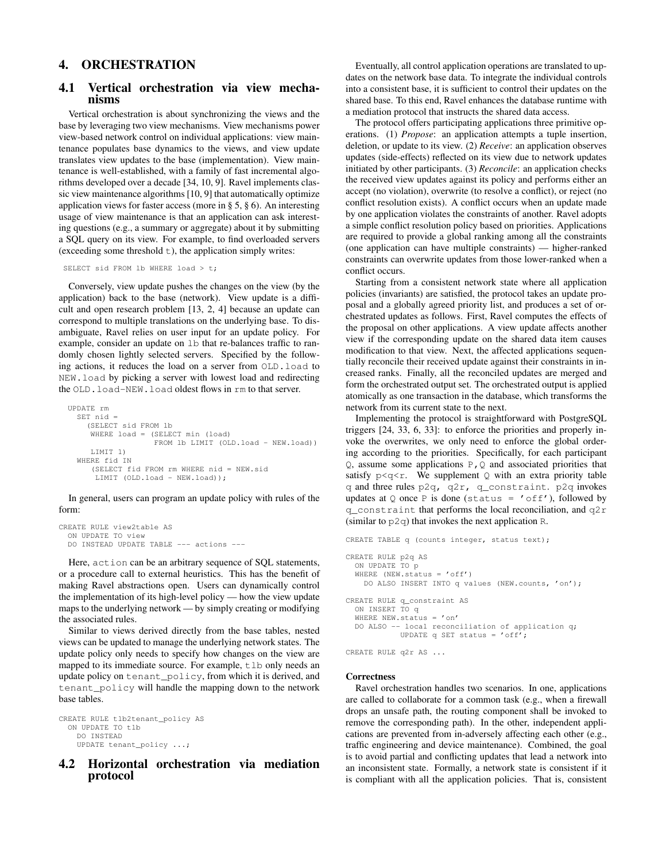## 4. ORCHESTRATION

### 4.1 Vertical orchestration via view mechanisms

Vertical orchestration is about synchronizing the views and the base by leveraging two view mechanisms. View mechanisms power view-based network control on individual applications: view maintenance populates base dynamics to the views, and view update translates view updates to the base (implementation). View maintenance is well-established, with a family of fast incremental algorithms developed over a decade [34, 10, 9]. Ravel implements classic view maintenance algorithms [10, 9] that automatically optimize application views for faster access (more in § 5, § 6). An interesting usage of view maintenance is that an application can ask interesting questions (e.g., a summary or aggregate) about it by submitting a SQL query on its view. For example, to find overloaded servers (exceeding some threshold  $t$ ), the application simply writes:

```
SELECT sid FROM 1b WHERE load > t;
```
Conversely, view update pushes the changes on the view (by the application) back to the base (network). View update is a difficult and open research problem [13, 2, 4] because an update can correspond to multiple translations on the underlying base. To disambiguate, Ravel relies on user input for an update policy. For example, consider an update on 1b that re-balances traffic to randomly chosen lightly selected servers. Specified by the following actions, it reduces the load on a server from OLD.load to NEW.load by picking a server with lowest load and redirecting the OLD.load-NEW.load oldest flows in rm to that server.

```
UPDATE rm
  SET nid =
    (SELECT sid FROM lb
     WHERE load = (SELECT min (load)
                   FROM lb LIMIT (OLD.load - NEW.load))
     LIMIT 1)
  WHERE fid IN
     (SELECT fid FROM rm WHERE nid = NEW.sid
      LIMIT (OLD.load - NEW.load));
```
In general, users can program an update policy with rules of the form:

```
CREATE RULE view2table AS
  ON UPDATE TO view
 DO INSTEAD UPDATE TABLE --- actions ---
```
Here, action can be an arbitrary sequence of SQL statements, or a procedure call to external heuristics. This has the benefit of making Ravel abstractions open. Users can dynamically control the implementation of its high-level policy — how the view update maps to the underlying network — by simply creating or modifying the associated rules.

Similar to views derived directly from the base tables, nested views can be updated to manage the underlying network states. The update policy only needs to specify how changes on the view are mapped to its immediate source. For example,  $t \perp b$  only needs an update policy on tenant\_policy, from which it is derived, and tenant\_policy will handle the mapping down to the network base tables.

```
CREATE RULE tlb2tenant_policy AS
 ON UPDATE TO tlb
   DO INSTEAD
    UPDATE tenant_policy ...;
```
### 4.2 Horizontal orchestration via mediation protocol

Eventually, all control application operations are translated to updates on the network base data. To integrate the individual controls into a consistent base, it is sufficient to control their updates on the shared base. To this end, Ravel enhances the database runtime with a mediation protocol that instructs the shared data access.

The protocol offers participating applications three primitive operations. (1) *Propose*: an application attempts a tuple insertion, deletion, or update to its view. (2) *Receive*: an application observes updates (side-effects) reflected on its view due to network updates initiated by other participants. (3) *Reconcile*: an application checks the received view updates against its policy and performs either an accept (no violation), overwrite (to resolve a conflict), or reject (no conflict resolution exists). A conflict occurs when an update made by one application violates the constraints of another. Ravel adopts a simple conflict resolution policy based on priorities. Applications are required to provide a global ranking among all the constraints (one application can have multiple constraints) — higher-ranked constraints can overwrite updates from those lower-ranked when a conflict occurs.

Starting from a consistent network state where all application policies (invariants) are satisfied, the protocol takes an update proposal and a globally agreed priority list, and produces a set of orchestrated updates as follows. First, Ravel computes the effects of the proposal on other applications. A view update affects another view if the corresponding update on the shared data item causes modification to that view. Next, the affected applications sequentially reconcile their received update against their constraints in increased ranks. Finally, all the reconciled updates are merged and form the orchestrated output set. The orchestrated output is applied atomically as one transaction in the database, which transforms the network from its current state to the next.

Implementing the protocol is straightforward with PostgreSQL triggers [24, 33, 6, 33]: to enforce the priorities and properly invoke the overwrites, we only need to enforce the global ordering according to the priorities. Specifically, for each participant  $Q$ , assume some applications  $P$ ,  $Q$  and associated priorities that satisfy  $p < q < r$ . We supplement Q with an extra priority table q and three rules p2q, q2r, q\_constraint. p2q invokes updates at  $Q$  once P is done (status = 'off'), followed by q constraint that performs the local reconciliation, and  $q2r$ (similar to p2q) that invokes the next application R.

```
CREATE TABLE q (counts integer, status text);
CREATE RULE p2q AS
  ON UPDATE TO p
  WHERE (NEW.status = 'off')
   DO ALSO INSERT INTO q values (NEW.counts, 'on');
CREATE RULE q_constraint AS
  ON INSERT TO q
  WHERE NEW.status = 'on'
  DO ALSO -- local reconciliation of application q;
           UPDATE q SET status = 'off';
```
CREATE RULE q2r AS ...

#### **Correctness**

Ravel orchestration handles two scenarios. In one, applications are called to collaborate for a common task (e.g., when a firewall drops an unsafe path, the routing component shall be invoked to remove the corresponding path). In the other, independent applications are prevented from in-adversely affecting each other (e.g., traffic engineering and device maintenance). Combined, the goal is to avoid partial and conflicting updates that lead a network into an inconsistent state. Formally, a network state is consistent if it is compliant with all the application policies. That is, consistent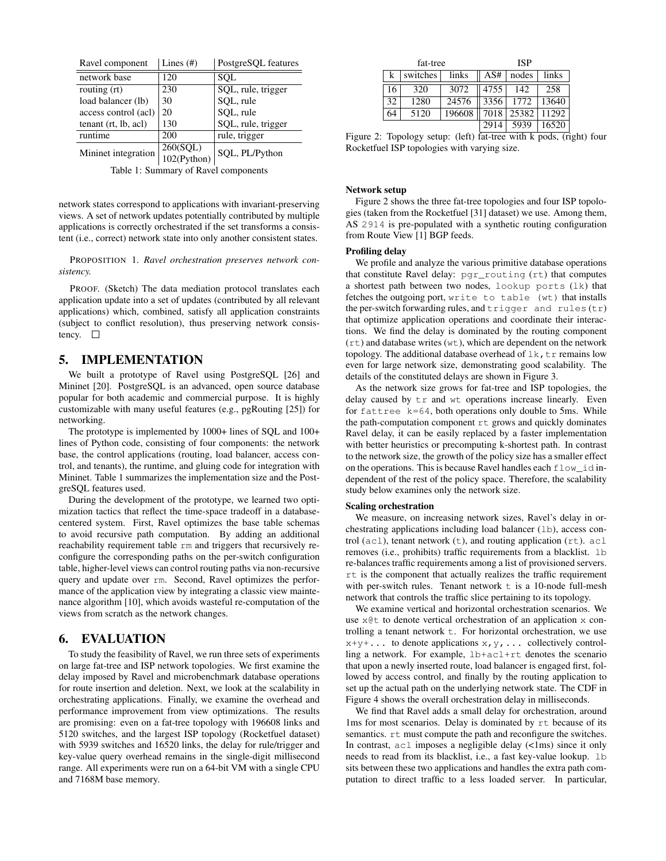| Ravel component      | Lines $(#)$             | PostgreSQL features |  |
|----------------------|-------------------------|---------------------|--|
| network base         | 120                     | SQL                 |  |
| routing (rt)         | 230                     | SQL, rule, trigger  |  |
| load balancer (lb)   | 30                      | SQL, rule           |  |
| access control (acl) | 20                      | SQL, rule           |  |
| tenant (rt, lb, acl) | 130                     | SQL, rule, trigger  |  |
| runtime              | 200                     | rule, trigger       |  |
| Mininet integration  | 260(SQL)<br>102(Python) | SOL, PL/Python      |  |

Table 1: Summary of Ravel components

network states correspond to applications with invariant-preserving views. A set of network updates potentially contributed by multiple applications is correctly orchestrated if the set transforms a consistent (i.e., correct) network state into only another consistent states.

PROPOSITION 1. *Ravel orchestration preserves network consistency.*

PROOF. (Sketch) The data mediation protocol translates each application update into a set of updates (contributed by all relevant applications) which, combined, satisfy all application constraints (subject to conflict resolution), thus preserving network consistency.  $\square$ 

## 5. IMPLEMENTATION

We built a prototype of Ravel using PostgreSQL [26] and Mininet [20]. PostgreSQL is an advanced, open source database popular for both academic and commercial purpose. It is highly customizable with many useful features (e.g., pgRouting [25]) for networking.

The prototype is implemented by 1000+ lines of SQL and 100+ lines of Python code, consisting of four components: the network base, the control applications (routing, load balancer, access control, and tenants), the runtime, and gluing code for integration with Mininet. Table 1 summarizes the implementation size and the PostgreSQL features used.

During the development of the prototype, we learned two optimization tactics that reflect the time-space tradeoff in a databasecentered system. First, Ravel optimizes the base table schemas to avoid recursive path computation. By adding an additional reachability requirement table rm and triggers that recursively reconfigure the corresponding paths on the per-switch configuration table, higher-level views can control routing paths via non-recursive query and update over rm. Second, Ravel optimizes the performance of the application view by integrating a classic view maintenance algorithm [10], which avoids wasteful re-computation of the views from scratch as the network changes.

## 6. EVALUATION

To study the feasibility of Ravel, we run three sets of experiments on large fat-tree and ISP network topologies. We first examine the delay imposed by Ravel and microbenchmark database operations for route insertion and deletion. Next, we look at the scalability in orchestrating applications. Finally, we examine the overhead and performance improvement from view optimizations. The results are promising: even on a fat-tree topology with 196608 links and 5120 switches, and the largest ISP topology (Rocketfuel dataset) with 5939 switches and 16520 links, the delay for rule/trigger and key-value query overhead remains in the single-digit millisecond range. All experiments were run on a 64-bit VM with a single CPU and 7168M base memory.

| fat-tree |          | <b>ISP</b> |      |       |       |
|----------|----------|------------|------|-------|-------|
|          | switches | links      | AS#  | nodes | links |
| 16       | 320      | 3072       | 4755 | 142   | 258   |
| 32       | 1280     | 24576      | 3356 | 1772  | 13640 |
|          | 5120     | 196608     | 7018 | 25382 | 11292 |
|          |          |            | 2914 | 5939  | 16520 |

Figure 2: Topology setup: (left) fat-tree with k pods, (right) four Rocketfuel ISP topologies with varying size.

### Network setup

Figure 2 shows the three fat-tree topologies and four ISP topologies (taken from the Rocketfuel [31] dataset) we use. Among them, AS 2914 is pre-populated with a synthetic routing configuration from Route View [1] BGP feeds.

### Profiling delay

We profile and analyze the various primitive database operations that constitute Ravel delay: pgr\_routing (rt) that computes a shortest path between two nodes, lookup ports (lk) that fetches the outgoing port, write to table (wt) that installs the per-switch forwarding rules, and trigger and rules (tr) that optimize application operations and coordinate their interactions. We find the delay is dominated by the routing component  $(rt)$  and database writes ( $wt$ ), which are dependent on the network topology. The additional database overhead of  $lk$ ,  $tr$  remains low even for large network size, demonstrating good scalability. The details of the constituted delays are shown in Figure 3.

As the network size grows for fat-tree and ISP topologies, the delay caused by tr and wt operations increase linearly. Even for fattree k=64, both operations only double to 5ms. While the path-computation component  $rt$  grows and quickly dominates Ravel delay, it can be easily replaced by a faster implementation with better heuristics or precomputing k-shortest path. In contrast to the network size, the growth of the policy size has a smaller effect on the operations. This is because Ravel handles each  $f$ low\_id independent of the rest of the policy space. Therefore, the scalability study below examines only the network size.

#### Scaling orchestration

We measure, on increasing network sizes, Ravel's delay in orchestrating applications including load balancer (1b), access control  $(ac1)$ , tenant network  $(t)$ , and routing application  $(rt)$ . acl removes (i.e., prohibits) traffic requirements from a blacklist. lb re-balances traffic requirements among a list of provisioned servers. rt is the component that actually realizes the traffic requirement with per-switch rules. Tenant network  $t$  is a 10-node full-mesh network that controls the traffic slice pertaining to its topology.

We examine vertical and horizontal orchestration scenarios. We use  $x \notin t$  to denote vertical orchestration of an application  $x$  controlling a tenant network  $t$ . For horizontal orchestration, we use  $x+y+\ldots$  to denote applications  $x, y, \ldots$  collectively controlling a network. For example, lb+acl+rt denotes the scenario that upon a newly inserted route, load balancer is engaged first, followed by access control, and finally by the routing application to set up the actual path on the underlying network state. The CDF in Figure 4 shows the overall orchestration delay in milliseconds.

We find that Ravel adds a small delay for orchestration, around 1ms for most scenarios. Delay is dominated by rt because of its semantics.  $rt$  must compute the path and reconfigure the switches. In contrast, acl imposes a negligible delay (<1ms) since it only needs to read from its blacklist, i.e., a fast key-value lookup. lb sits between these two applications and handles the extra path computation to direct traffic to a less loaded server. In particular,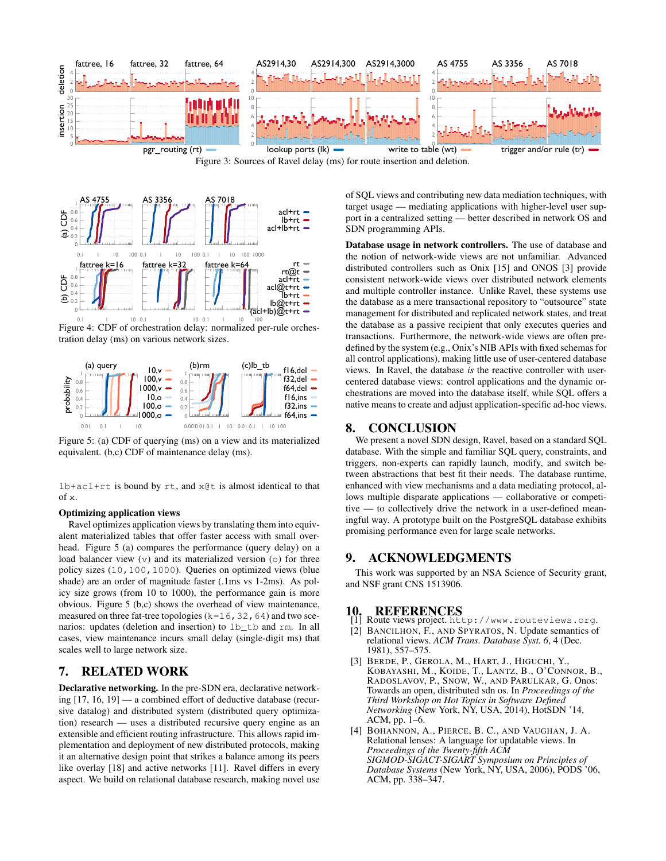

Figure 3: Sources of Ravel delay (ms) for route insertion and deletion.



Figure 4: CDF of orchestration delay: normalized per-rule orchestration delay (ms) on various network sizes.



Figure 5: (a) CDF of querying (ms) on a view and its materialized equivalent. (b,c) CDF of maintenance delay (ms).

lb+acl+rt is bound by rt, and x@t is almost identical to that of x.

### **Optimizing application views**

Ravel optimizes application views by translating them into equivalent materialized tables that offer faster access with small overhead. Figure 5 (a) compares the performance (query delay) on a load balancer view  $(v)$  and its materialized version  $(o)$  for three policy sizes (10, 100, 1000). Queries on optimized views (blue shade) are an order of magnitude faster (.1ms vs 1-2ms). As policy size grows (from 10 to 1000), the performance gain is more obvious. Figure 5 (b,c) shows the overhead of view maintenance, measured on three fat-tree topologies ( $k=16$ , 32, 64) and two scenarios: updates (deletion and insertion) to lb\_tb and rm. In all cases, view maintenance incurs small delay (single-digit ms) that scales well to large network size.

#### 7. **RELATED WORK**

Declarative networking. In the pre-SDN era, declarative networking  $[17, 16, 19]$  — a combined effort of deductive database (recursive datalog) and distributed system (distributed query optimization) research — uses a distributed recursive query engine as an extensible and efficient routing infrastructure. This allows rapid implementation and deployment of new distributed protocols, making it an alternative design point that strikes a balance among its peers like overlay [18] and active networks [11]. Ravel differs in every aspect. We build on relational database research, making novel use

of SOL views and contributing new data mediation techniques, with target usage — mediating applications with higher-level user support in a centralized setting — better described in network OS and SDN programming APIs.

Database usage in network controllers. The use of database and the notion of network-wide views are not unfamiliar. Advanced distributed controllers such as Onix [15] and ONOS [3] provide consistent network-wide views over distributed network elements and multiple controller instance. Unlike Ravel, these systems use the database as a mere transactional repository to "outsource" state management for distributed and replicated network states, and treat the database as a passive recipient that only executes queries and transactions. Furthermore, the network-wide views are often predefined by the system (e.g., Onix's NIB APIs with fixed schemas for all control applications), making little use of user-centered database views. In Ravel, the database is the reactive controller with usercentered database views: control applications and the dynamic orchestrations are moved into the database itself, while SQL offers a native means to create and adjust application-specific ad-hoc views.

#### 8. **CONCLUSION**

We present a novel SDN design, Ravel, based on a standard SQL database. With the simple and familiar SQL query, constraints, and triggers, non-experts can rapidly launch, modify, and switch between abstractions that best fit their needs. The database runtime, enhanced with view mechanisms and a data mediating protocol, allows multiple disparate applications - collaborative or competitive - to collectively drive the network in a user-defined meaningful way. A prototype built on the PostgreSQL database exhibits promising performance even for large scale networks.

#### **ACKNOWLEDGMENTS** 9.

This work was supported by an NSA Science of Security grant, and NSF grant CNS 1513906.

#### **REFERENCES** 10.

- [1] Route views project. http://www.routeviews.org.
- [2] BANCILHON, F., AND SPYRATOS, N. Update semantics of relational views. ACM Trans. Database Syst. 6, 4 (Dec. 1981), 557-575.
- [3] BERDE, P., GEROLA, M., HART, J., HIGUCHI, Y., KOBAYASHI, M., KOIDE, T., LANTZ, B., O'CONNOR, B., RADOSLAVOV, P., SNOW, W., AND PARULKAR, G. Onos: Towards an open, distributed sdn os. In Proceedings of the Third Workshop on Hot Topics in Software Defined *Networking* (New York, NY, USA, 2014), HotSDN '14,  $ACM$ , pp. 1–6.
- [4] BOHANNON, A., PIERCE, B. C., AND VAUGHAN, J. A. Relational lenses: A language for updatable views. In Proceedings of the Twenty-fifth ACM SIGMOD-SIGACT-SIGART Symposium on Principles of Database Systems (New York, NY, USA, 2006), PODS '06, ACM, pp. 338-347.